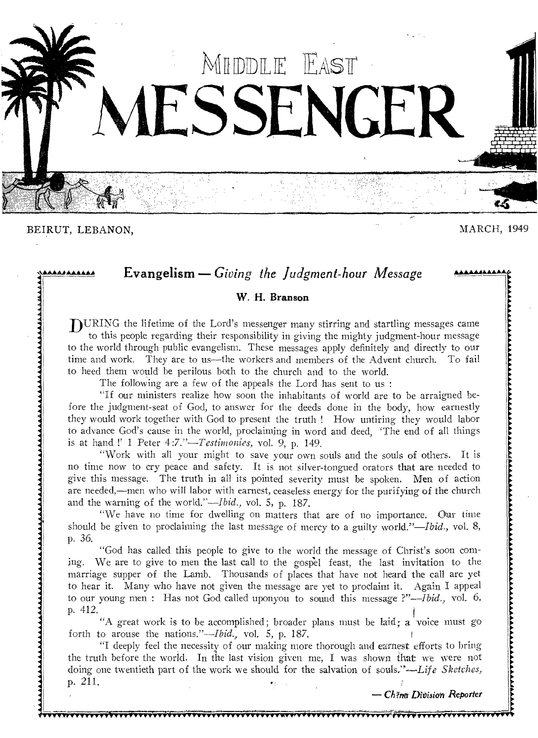

BEIRUT, LEBANON, MARCH, 1949

**Evangelism** — Giving the Judgment-hour Message

## **W. H. Branson**

DURING the lifetime of the Lord's messenger many stirring and startling messages came to this people regarding their responsibility in giving the mighty judgment-hour message to the world through public evangelism. These messages apply definitely and directly to our time and work. They are to us—the workers and members of the Advent church. To fail to heed them would be perilous both to the church and to the world.

The following are a few of the appeals the Lord has sent to us :

"If our ministers realize how soon the inhabitants of world are to be arraigned before the judgment-seat of God, to answer for the deeds done in the body, how earnestly they would work together with God to present the truth ! How untiring they would labor to advance God's cause in the world, proclaiming in word and deed, 'The end of all things is at hand !' 1 Peter 4*:7."—Testimonies,* vol. 9, p. 149.

"Work with all your might to save your own souls and the souls of others. It is no time now to cry peace and safety. It is not silver-tongued orators that are needed to give this message. The truth in all its pointed severity must be spoken. Men of action are needed,—men who will labor with earnest, ceaseless energy for the purifying of the church and the warning of the world."—Ibid., vol. 5, p. 187.

"We have no time for dwelling on matters that are of no importance. Our time should be given to proclaiming the last message of mercy to a guilty world."—Ibid., vol. 8, p. 36.

"God has called this people to give to the world the message of Christ's soon coming. We are to give to men the last call to the gospel feast, the last invitation to the marriage supper of the Lamb. Thousands of places that have not heard the call are yet to hear it. Many who have not given the message are yet to proclaim it. Again I appeal to our young men : Has not God called uponyou to sound this message *?"--Ibid.,* vol. 6, p. 412.

"A great work is to be accomplished; broader plans must be laid; a voice must go forth to arouse the nations."—Ibid., *vol.* 5, p. 187.

"I deeply feel the necessity of our making more thorough and earnest efforts to bring the truth before the world. In the last vision given me, I was shown that we were not doing one twentieth part of the work we should for the salvation of souls,"—Life Sketches, p. 211.

**rvIlilrvVvvVvvvYvvyvvv-r,** 

*Ch 7n Dit)isiati* Reporter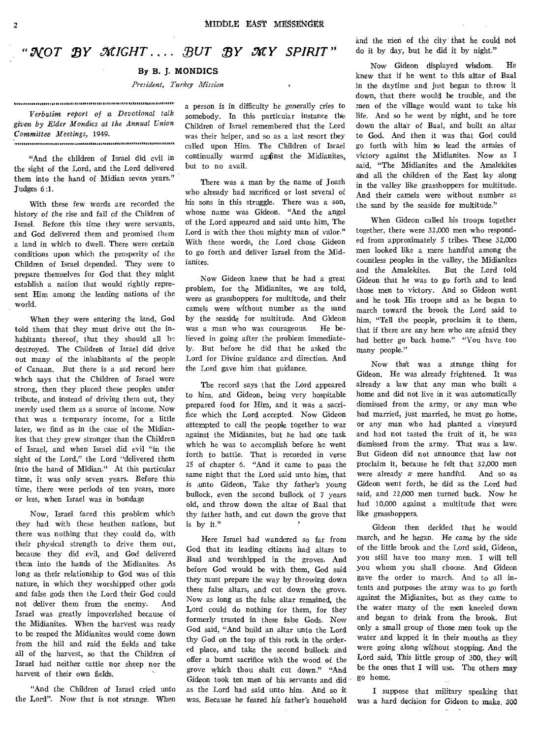## *"NOT 23Y MIGHT . • ,BUT BY 32'Y SPIRIT"*

#### **By B. J. MONDICS**

*President, Turkey Mission* 

.<br>1998. - 1999. - 1999. - 1999. - 1999. - 1999. - 1999. - 1999. - 1999. - 1999. - 1999. - 1999. - 1999. - 1999. *Verbatim report of* **a** *Devotional talk given by Elder Mondics at the Annual Union Committee Meetings,* 1949. 

"And the children of Israel did evil in the sight of the Lord, and the Lord delivered them into the hand of Midian seven years." Judges 6:1.

With these few words are recorded the history of the rise and fall of the Children of Israel. Before this time they were servants, and God delivered them and promised them a land in which to dwell. There were certain conditions upon which the prosperity of the Children of Israel depended. They were to prepare themselves for God that they might establish a nation that would rightly represent Him among the leading nations of the world.

When they were entering the land, God told them that they must drive out the inhabitants thereof, that they should all be destroyed. The Children of Israel did drive out many of the inhabitants of the people of Canaan. But there is a sad record here whch says that the Children of Israel were strong, then they placed these peoples under tribute, and instead of driving them out, they merely used them as a source of income. Now that was a temporary income, for a little later, we find as in the case of the Midianites that they grew stronger than the Children of Israel, and when Israel did evil "in the sight of the Lord," the Lord "delivered them into the hand of Midian." At this particular time, it was only seven years. Before this time, there were periods of ten years, more or less, when Israel was in bondage

Now, Israel faced this problem which they had with these heathen nations, but there was nothing that they could do, with their physical strength to drive them out, because they did evil, and God delivered them into the hands of the Midianites. As long as their relationship to God was of this nature, in which they worshipped other gods and false gods then the Lord their God could not deliver them from the enemy. And Israel was greatly impoverished because of the Midianites. When the harvest was ready to be reaped the Midianites would come down from the hill and raid the fields and take all of the harvest, so that the Children of Israel had neither cattle nor sheep nor the harvest of their own fields.

"And the Children of Israel cried unto the Lord". Now that is not strange. When a person *is* in difficulty he generally cries to somebody. In this particular instance the Children of Israel remembered that the Lord was their helper, and so as a last resort they called upon Him. The Children of Israel continually warred against the Midianites, but to no avail.

There was a man by the name of Joash who already had sacrificed or lost several of his sons in this struggle. There was a son, whose name was Gideon. "And the angel of the Lord appeared and said unto him, The Lord is with thee thou mighty man of valor." With these words, the Lord chose Gideon to go forth and deliver Israel from the Midianites.

Now Gideon knew that he had a great problem, for the Midianites, we are told, were as grasshoppers for multitude, and their camels were without number as the sand by the seaside for multitude. And Gideon was a man who was courageous. He believed in going after the problem immediately. But before he did that he asked the Lord for Divine guidance and direction. And the Lord gave him that guidance.

The record says that the Lord appeared to him, and Gideon, being very hospitable prepared food for Him, and it was a sacrifice which the Lord accepted. Now Gideon attempted to call the people together to war against the Midianites, but he had one task which he was to accomplish before he went forth to battle. That is recorded in verse 25 of chapter 6. "And it came to pass the same night that the Lord said unto him, that *is ,unto Gideon,* Take thy father's young bullock, even the second bullock of 7 years old, and throw down the altar of Baal that thy father hath, and cut down the grove that is by it."

Here Israel had wandered so far from God that its leading citizens had altars to Baal and Worshipped in the groves. And before God would be with them, God said they must prepare the way by throwing down these false altars, and cut down the grove. Now as long as the false altar remained, the Lord could do nothing for them, for they formerly trusted in these false Gods. Now God said, "And build an altar unto the Lord thy God on the top of this rock in the ordered place, and take the second bullock and offer a burnt sacrifice with the wood of the grove which thou shalt cut down." "And Gideon took ten men of his servants and did as the Lord had said unto him. And so it was. Because he feared his father's household and the men of the city that he could not do it by day, but he did it by night."

Now Gideon displayed wisdom. He knew that if he went to this altar of Baal in the daytime and just began to throw it down, that there would be trouble, and the men of the village would want to take his life. And so he went by night, and he tore down the altar of Baal, and built an altar to God. And then it was that God could go forth with him to lead the armies of victory against the Midianites. Now as I said, "The Midianites and the Amalekites and all the children of the East lay along in the valley like grasshoppers for multitude. And their camels were without number as the sand by the seaside for multitude."

When Gideon called his troops together together, there were 32,000 men who responded from approximately 5 tribes. These 3Z,000 men looked like a mere handful among the countless peoples in the valley, the Midianites and the Amalekites. But the Lord told Gideon that he was to go forth and to lead those men to victory. And so Gideon went and he took His troops and as he began to march toward the brook the Lord said to him, "Tell the people, proclaim it to them, that if there are any here who are afraid they had better go back home." "You have too many people."

Now thaft was a strange thing for Gideon. He was already frightened. It was already a law that any man who built a home and did not live in it was automatically dismissed from the army, or any man who had married, just married, he must go home, or any man who had planted a vineyard and had not tasted the fruit of it, he was dismissed from the army. That was a law. But Gideon did not announce that law nor proclaim it, because he felt that 32,000 men were already a mere handful. And so as Gideon went forth, he did as the Lord had said, and 22,000 men turned back. Now he had 10,000 against a multitude that were like grasshoppers.

Gideon then decided that he would march, and he hegan. He came by the side of the little brook and the Lord said, Gideon, you still have too many men. I will tell you whom you shall choose. And Gideon gave the order to march. And to all intents and purposes the army was to go forth against the Midianites, but as they came to the water many of the men kneeled down and began to drink from the brook. But only a small group of those men took up the water and lapped it in their mouths as they were going along without stopping. And the Lord said, This little group of 300, they will be the ones that I will use. The others may go home.

I suppose that military speaking that was a hard decision for Gideon to make. 300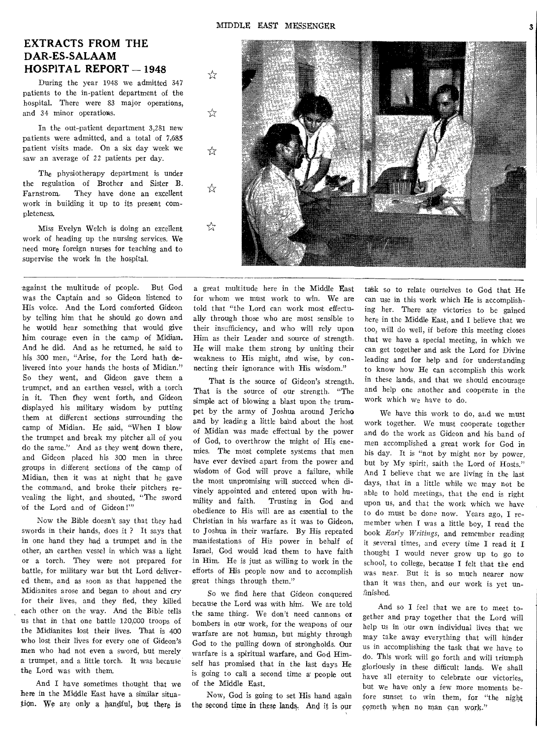## **EXTRACTS FROM THE DAR-ES-SALAAM HOSPITAL REPORT - 1948**

During the year 1948 we admitted 347 patients to the in-patient department of the hospital. There were 83 major operations, and 34 minor operations.

In the out-patient department 3,281 new patients were admitted, and a total of 7,685 patient visits made. On a six day week we saw an average of 22 patients per day.

The physiotherapy department is under the regulation of Brother and Sister B. Farnstrom. They have done an excellent work in building it up to its present completeness.

Miss Evelyn Welch is doing an excellent work of heading up the nursing services. We need more foreign nurses for teaching and to supervise the work in the hospital.

against the multitude of people. But God was the Captain and so Gideon listened to His voice. And the Lord comforted Gideon by telling him that he should go down and he would hear something that would give him courage even in the camp of Midian. And he did. And as he returned, he said to his 300 men, "Arise, for the Lord hath delivered into your hands the hosts of Midian." So they went, and Gideon gave them a trumpet, and an earthen vessel, with a torch in it. Then fhey went forth, and Gideon displayed his military wisdom by putting them at different sections surrounding the camp of Midian. He said, "When I blow the trumpet and break my pitcher all of you do the same." And as they went down there, and Gideon placed his 300 men in three groups in different sections of the camp of Midian, then it was at night that he gave the command, and broke their pitchers revealing the light, and shouted, "The sword of the Lord and of Gideon !'"

Now the Bible doesn't say that they had swords in their hands, does it ? It says that in one hand they had a trumpet and in the other, an earthen vessel in which was a light or a torch. They were not prepared for battle, for military war but tht Lord delivered them, and as soon as that happened the Midianites arose and began to shout and cry for their lives, and they fled, they killed each other on the way. And the Bible tells us that in that one battle 120,000 troops of the Midianites lost their lives. That is 400 who lost their lives for every one of Gideon's men who had not even a sword, but merely a trumpet, and a little torch. It was because the Lord was with them.

And I have sometimes thought that we here in the Middle East have a similar situation. We are only a handful, but there is

a great multitude here in the Middle East for whom we must work to win. We are told that "the Lord can work most effectually through those who are most sensible to their insufficiency, and who will rely upon Him as their Leader and source of strength. He will make them strong by uniting their weakness to His might, and wise, by connecting their ignorance with His wisdom."

That is the source of Gideon's strength. That is the source of our strength. "The simple act of blowing a blast upon the trumpet by the army of Joshua around Jericho and by leading a little band about the host of Midian was made effectual by the power of God, to overthrow the might of His enemies. The most complete systems that men have ever devised apart from the power and wisdom of God will prove a failure, while the most unpromising will succeed when divinely appointed and entered upon with humility and faith. Trusting in God and obedience to His will are as essential to the Christian in his warfare as it was to Gideon, to Joshua in their warfare. By His repeated manifestations of His power in behalf of Israel, God would lead them to have faith in Him. He is just as willing to work in the efforts of His people now and to accomplish great things through them."

So we find here that Gideon conquered because the Lord was with him. We are told the same thing. We don't need cannons or bombers in our work, for the weapons of our warfare are not human, but mighty through God to the pulling down of strongholds. Our warfare is a spiritual warfare, and God Himself has promised that in the last days He is going to call a second time a' people out of the Middle East.

Now, God is going to set His hand again the second time in these lands. And it is our task so to relate ourselves to God that He can use in this work which He is accomplishing her. There are victories to be gained here in the Middle East, and I believe that we too, will do well, if before this meeting closes that we have a special meeting, in which we can get together and ask the Lord for Divine leading and for help and for understanding to know how He can accomplish this work in these lands, and that we should encourage and help one another and cooperate in the work which we have to do.

We have this work to do, arid we must work together. We must cooperate together and do the work as Gideon and his band of men accomplished a great work for God in his day. It is "not by might nor by power, but by My spirit, saith the Lord of Hosts." And I believe that we are living in the last days, that in a little while we may not be able to hold meetings, that the end is right upon us, and that the work which we have to do must be done now. Years ago, I remember when I was a little boy, I read the book *Early Writings,* and remember reading it several times, and every time I read it I thought I would never grow up to go to school, to college, because I felt that the end was near. But it is so much nearer now than it was then, and our work is yet unfinished.

And so I feel that we are to meet together and pray together that the Lord will help us in our own individual lives that we may take away everything that will hinder us in accomplishing the task that we have to do. This work will go forth and will triumph gloriously in these difficult lands. We shall have all eternity to celebrate our victories, but we have only a few more moments before sunset to win them, for "the night cometh when no man can work."

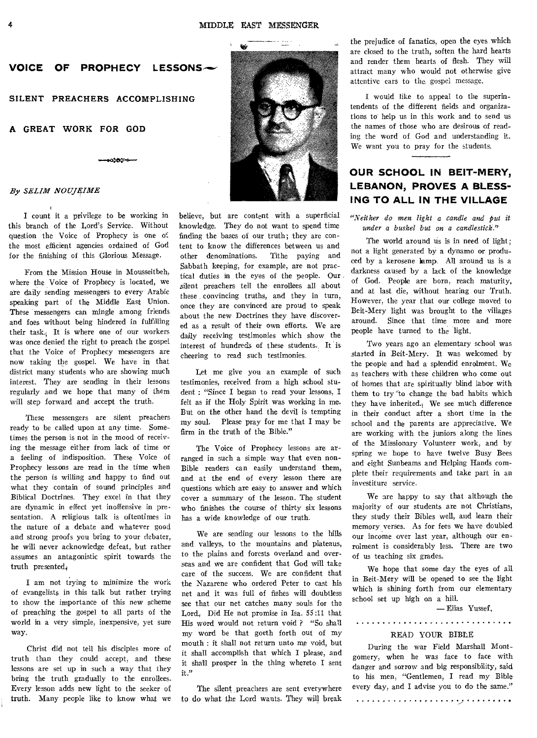

**ംക്ക**്റം

SILENT PREACHERS ACCOMPLISHING

#### **A GREAT WORK FOR GOD**

#### *By SELIM NOUJRIME*

I count it a privilege to be working in this branch of the Lord's Service. Without question the Voice of Prophecy is one of the most efficient agencies ordained of God for the finishing of this Glorious Message.

From the Mission House in Mousseitbeh, where the Voice of Prophecy is located, we are daily sending messengers to every Arabic speaking part of the Middle East Union. These messengers can mingle among friends and foes without being hindered in fulfilling their task., It is where one of our workers was once denied the right to preach the gospel that the Voice of Prophecy messengers are now taking the gospel. We have in that district many students who are showing much interest. They are sending in their lessons regularly and we hope that many of them will step forward and accept the truth.

These messengers are silent preachers ready to be called upon at any time. Sometimes the person is not in the mood of receiving the message either from lack of time or a feeling of indisposition. These Voice of Prophecy lessons are read in the time when the person is willing and happy to find out what they contain of sound principles and Biblical Doctrines. They excel in that they are dynamic in effect yet inoffensive in presentation. A religious talk is oftentimes in the nature of a debate and whatever good and strong proofs you bring to your debater, he will never acknowledge defeat, but rather assumes an antagonistic spirit towards the truth presented,

I am not trying to minimize the work of evangelists in this talk but rather trying to show the importance of this new scheme of preaching the gospel to all parts of the world in a very simple, inexpensive, yet sure way.

Christ did not tell his disciples more of truth than they could accept, and these lessons are set up in such a way that they bring the truth gradually to the enrollees. Every lesson adds new light to the seeker of truth. Many people like to know what we believe, but are content with a superficial knowledge. They do not want to spend time finding the bases of our truth; they are content to know the differences between us and other denominations. Tithe paying and Sabbath keeping, for example, are not practical duties in the eyes of the people. Our , silent preachers tell the enrollees all about these convincing truths, and they in turn, once they are convinced are proud to speak about the new Doctrines they have discovered as a result of their own efforts. We are daily receiving testimonies which show the interest of hundreds of these students. It is cheering to read such testimonies.

Let me give you an example of such testimonies, received from a high school student : "Since I began to read your lessons, I felt as if the Holy Spirit was working in me. But on the other hand the devil is tempting my soul. Please pray for me that I may be firm in the truth of the Bible."

The Voice of Prophecy lessons are arranged in such a simple way that even non-Bible readers can easily understand them, and at the end of every lesson there are questions which are easy to answer and which cover a summary of the lesson. The student who finishes the course of thirty six lessons has a wide knowledge of our truth.

We are sending our lessons to the hills and valleys, to the mountains and plateaus, to the plains and forests overland and overseas and we are confident that God will take care of the success. We are confident that the Nazarene who ordered Peter to cast his net and it was full of fishes will doubtless see that our net catches many souls for the Lord, Did He not promise in Isa. 55:11 that His word would not return void ? "So shall my word be that goeth forth out of my mouth : it shall not return unto me void, but it shall accomplish that which I please, and it shall prosper in the thing whereto I sent it."

The silent preachers are sent everywhere to do what the Lord wants. They will break the prejudice of fanatics, open the eyes which are closed to the truth, soften the hard hearts and render them hearts of flesh. They will attract many who would pot otherwise give attentive ears to the gospel message.

I would like to appeal to the superintendents of the different fields and organizations to help us in this work and to send us the names of those who are desirous of reading the word of God and understanding it. We want you to pray for the students.

## **OUR SCHOOL IN BEIT-MERY, LEBANON, PROVES A BLESS-ING TO ALL IN THE VILLAGE**

*"Neither do men light a candle and put it under a bushel but on a candlestick."* 

The world around us is in need of light; not a light generated by a dynamo or produced by a kerosene lamp. All around us is a darkness caused by a lack of the knowledge of God. People are born, reach maturity, and at last die, without hearing our Truth. However, the year that our college moved to Beit-Mery light was brought to the villages around. Since that time more and more people have turned to the light.

Two years ago an elementary school was started in Beit-Mery. It was welcomed by the people and had a splendid enrolment. We as teachers with these children who come out of homes that are spiritually blind labor with them to try to change the bad habits which they have inherited.;We see much difference in their conduct after a short time in the school and the parents are appreciative. We are working with the juniors along the lines of the Missionary Volunteer work, and by spring we hope to have twelve Busy Bees and eight Sunbeams and Helping Hands complete their requirements and take part in an investiture service.

We are happy to say that although the majority of our students are not Christians, they study their Bibles well, and learn their memory verses. As for fees we have doubled our income over last year, although our enrolment is considerably less. There are two of us teaching six grades.

We hope that some day the eyes of all in Beit-Mery will be opened to see the light which is shining forth from our elementary school set up high on a hill,

— Elias Yussef,

#### READ YOUR BIBLE

During the war Field Marshall Montgomery, when he was face to face with danger and sorrow and big responsibility, said to his men, "Gentlemen, I read my Bible every day, and I advise you to do the same."

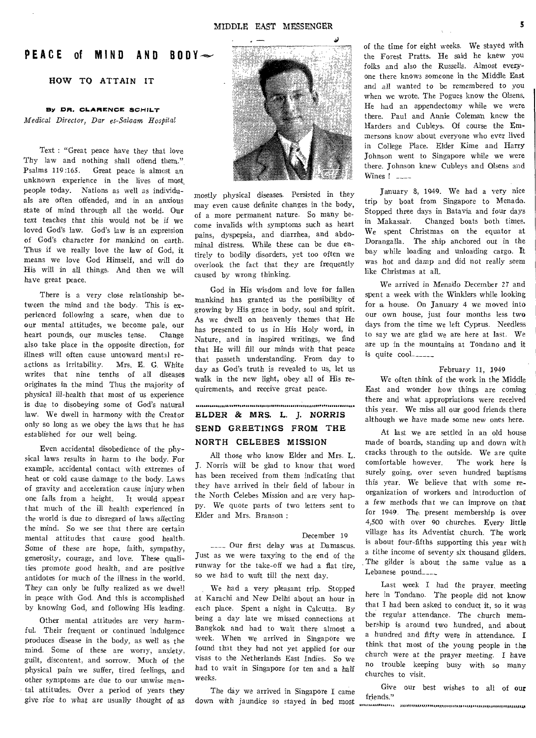## **PEACE of MIND AND BODY**

#### **HOW TO ATTAIN IT**

#### **By DR. CLARENCE SCHILT**

*Medical Director, Dar es-Salaam Hospital* 

Text : "Great peace have they that love Thy law and nothing shall offend them." Psalms 119:165. Great peace is almost an unknown experience in the lives of most\_ people today. Nations as well as individuals are often offended, and in an anxious state of mind through all the world. Our *text* teaches that this would not be if we loved God's law. God's law is an expression of God's character for mankind on earth. Thus if we really love the law of God, it means we love God Himself, and will do His will in all things. And then we will have great peace.

There is a very close relationship between the mind and the body. This is experienced following a scare, when due to our mental attitudes, we become pale, our heart pounds, our muscles tense. Change also take place in the opposite direction, for illness will often cause untoward mental reactions as irritability. Mrs. E. G. White writes that nine tenths of all diseases originates in the mind Thus the majority of physical ill-health that most of us experience is due to disobeying some of God's natural law. We dwell in harmony with the Creator only so long as we obey the laws that he has established for our well being.

Even accidental disobedience of the physical laws results in harm to the body. For example, accidental contact with extremes of heat or cold cause damage to the body. Laws of gravity and acceleration cause injury when one falls from a height. It would appear that much of the ill health experienced in the world is due to disregard of laws affecting the mind. So we see that there are certain mental attitudes that cause good health. Some of these are hope, faith, sympathy, generosity, courage, and love. These qualities promote good health, and are positive antidotes for much of the illness in the world. They can only be fully realized as we dwell in peace with Cod. And this is accomplished by knowing God, and following His leading.

Other mental attitudes are very harmful. Their frequent or continued indulgence produces disease in the body, as well as the mind. Some of these are worry, anxiety, guilt, discontent, and sorrow. Much of the physical pain we suffer, tired feelings, and other symptoms are due to our unwise mental attitudes. Over a period of years they give rise to what are usually thought of as



mostly physical diseases. Persisted in they may even cause definite changes in the body, of a more permanent nature. So many become invalids with symptoms such as heart pains, dyspepsia, and diarrhea, and abdominal distress. While these can be due entirely to bodily disorders, yet too often we overlook the fact that they are frequently caused by wrong thinking.

God in His wisdom and love for fallen mankind has granted us the possibility of growing by His grace in body, soul and spirit. As we dwell on heavenly themes that He has presented to us in His Holy word, in Nature, and in inspired writings, we find that He will fill our minds with that peace that passeth understanding. From day to day as God's truth is revealed to us, let us walk in the new light, obey all of His requirements, and receive great peace.

## $\label{prop:main}$ **ELDER & MRS. L. J. NORRIS SEND GREETINGS FROM THE NORTH CELEBES MISSION**

All those who know Elder and Mrs. L. J. Norris will be glad to know that word has been received from them indicating that they have arrived in their field of labour in the North Celebes Mission and are very happy. We quote parts of two letters sent to Elder and Mrs. Branson ;

#### December 19

\_\_\_\_ Our first delay was at Damascus. Just as we were taxying to the end of the runway for the take-off we had a flat tire, so we had to wait till the next day.

We had a very pleasant trip. Stopped at Karachi and New Delhi about an hour in each place. Spent a night in Calcutta. By being a day late we missed connections at Bangkok and had to wait there almost a week. When we arrived in Singapore we found that they had not yet applied for our visas to the Netherlands East Indies. So we had to wait in Singapore for ten and a half *weeks.* 

The day we arrived in Singapore **I** came down with jaundice so stayed in bed most friends." ,,,,,,, ,,,,,,,

of the time for eight weeks. We stayed with the Forest Pratts. He said he knew you folks and also the Russells. Almost everyone there knows someone in the Middle East and all wanted to be remembered to you when we wrote. The Pogues know the Olsens. He had an appendectomy while we were there. Paul and Annie Coleman knew the Harders and Cubleys. Of course the Emmersons know about everyone who ever lived in College Place. Elder Kime and Harry Johnson went to Singapore while we were there. Johnson knew Cubleys and Olsens and Wines  $\frac{1}{2}$   $\frac{1}{2}$ 

January 8, 1949. We had a very nice trip by boat from Singapore to Menada. Stopped three days in Batavia and four days in Makassar. Changed boats both times. We spent Christmas on the equator at Dorangalla. The ship anchored out in the bay while loading and unloading cargo. **It**  was hot and damp and did not really seem like Christmas at all.

We arrived in Menado December 27 and spent a week with the Winklers while looking for a house. On January 4 we moved into our own house, just four months less two days from the time we left Cyprus. Needless to say we are glad we are here at last. We are up in the mountains at Tondano and it is quite cool

#### February 11, 1949

We often think of the work in the Middle East and wonder how things are coming there and what appropriations were received this year. We miss all our good friends there although we have made some new ones here.

At last we are settled in an old house made of boards, standing up and down with cracks through to the outside. We are quite comfortable however. The work here is surely going, over seven hundred baptisms this year. We believe that with some reorganization of workers and introduction of a few methods that we can improve on that for 1949. The, present membership is over 4,500 with over 90 churches. *Every* little village has its Adventist church. The work is about four-fifths supporting this year with a tithe income of seventy six thousand gilders. The gilder is about the same value as a Lebanese pound\_\_\_\_\_

Last week I had the prayer, meeting here in Tondano. The people did not know that I had been asked to conduct it, so it was the regular attendance. The church membership is around two hundred, and about a hundred and fifty were in attendance. **I**  think that most of the young people in the church were at the prayer meeting. I have no trouble keeping busy with so many churches to visit.

Give our best wishes to all of our friends."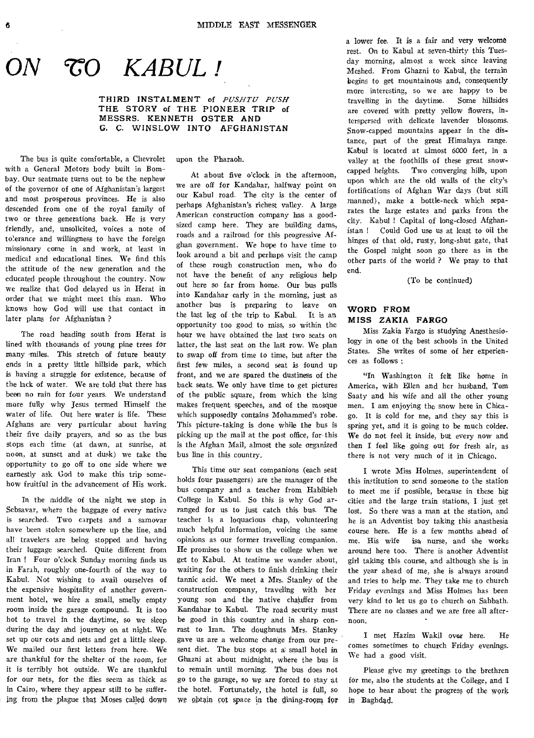$CO$  KABUL!

**THIRD INSTALMENT** of *PUSHTU PUSH*  **THE STORY of THE PIONEER TRIP of MESSRS. KENNETH OSTER AND G. C. WINSLOW INTO AFGHANISTAN** 

The bus is quite comfortable, a Chevrolet with a General Motors body built in Bombay. Our seatmate turns out to be the nephew of the governor of one of Afghanistan's largest and most prosperous provinces. He is also descended from one of the royal family of two or three generations back. He is very friendly, and, unsolicited, voices a note of tolerance and willingness to have the foreign missionary come in and work, at least in medical and educational lines. We find this the attitude of the new generation and the educated people throughout the country. Now we realize that God delayed us in Herat in order that we might meet this man. Who knows how God will use that contact in later plans for Afghanistan ?

The road heading south from Herat is lined with thousands of young pine trees for many miles. This stretch of future beauty ends in a pretty little hillside park, which is having a struggle for existence, because of the lack of water. We are told that there has been no rain for four years. We understand more fully why Jesus termed Himself the water of life. Out here water is life. These Afghans are very particular about having their five daily prayers, and so as the bus stops each time (at dawn, at sunrise, at noon, at sunset and at dusk) we take the opportunity to go off to one side where we earnestly ask God to make this trip somehow fruitful in the advancement of His work.

In the middle of the night we stop in Sebsavar, where the baggage of every native is searched. Two carpets and a samovar have been stolen somewhere up the line, and all travelers are being stopped and having their luggage searched. Quite different from Iran ! Four o'clock Sunday morning finds us in Farah, roughly one-fourth of the way to Kabul. Not wishing to avail ourselves of the expensive hospitality of another government hotel, we hire a small, smelly empty room inside the garage compound. It is too hot to travel in the daytime, so we sleep during the day and journey on at night. We set up our cots and nets and get a little sleep. We mailed our first letters from here. We are thankful for the shelter of the room, for it is terribly hot outside. We are thankful for our nets, for the flies seem as thick as in Cairo, where they appear still to be suffering from the plague that Moses called down upon the Pharaoh.

At about five o'clock in the afternoon, we are off for Kandahar, halfway point on our Kabul road. The city is the center of perhaps Afghanistan's richest valley. A large American construction company has a goodsized camp here. They are building dams, roads and a railroad for this progressive Afghan government. We hope to have time to look around a bit and perhaps visit the camp of these rough construction men, who do not have the benefit of any religious help out here so far from home. Our bus pulls into Kandahar early in the morning, just as another bus is preparing to leave on the last leg of the trip to Kabul. It is an opportunity too good to miss, so within the hour we have obtained the last two seats on latter, the last seat on the last row. We plan to swap off from time to time, but after the first few miles, a second seat is found up front, and we are spared the dustiness of the back seats. We only have time to get pictures of the public square, from which the king makes frequent speeches, and of the mosque which supposedly contains Mohammed's robe. This picture-taking is done while the bus is picking up the mail at the post office, for this is the Afghan Mail, almost the sole organized bus line in this country.

This time our seat companions (each seat holds four passengers) are the manager of the bus company and a teacher from Habibieh College in Kabul. So this is why God arranged for us to just catch this bus. The teacher is a loquacious chap, volunteering much helpful information, voicing the same opinions as our former travelling companion. He promises to show us the college when we get to Kabul. At teatime we wander about, waiting for the others to finish drinking their tannic acid. We meet a Mrs. Stanley of the construction company, traveling with her young son and the native chauffer from Kandahar to Kabul. The road security must be good in this country and in sharp conrast to Iran. The doughnuts Mrs. Stanley gave us are a welcome change from our present diet. The bus stops at a small hotel in Ghazni at about midnight, where the bus is to remain until morning. The bus does not go to the garage, so we are forced to stay at the hotel. Fortunately, the hotel is full, so We obtain cot space in the dining-room for

a lower fee. It is a fair and very welcome rest. On to Kabul at seven-thirty this Tuesday morning, almost a week since leaving Meshed. From Ghazni to Kabul, the terrain begins to get mountainous and, consequently more interesting, so we are happy to be travelling in the daytime. Some hillsides are covered with pretty yellow flowers, interspersed with delicate lavender blossoms. Snow-capped mountains appear in the distance, part of the great Himalaya range. Kabul is located at almost 6000 feet, in a valley at the foothills of these great snowcapped heights. Two converging hills, upon upon which are the old walls of the city's fortifications of Afghan War days (but still manned), make a bottle-neck which separates the large estates and parks from the city. Kabul ! Capital of long-closed Afghanistan ! Could God use us at least to oil the hinges of that old, rusty, long-shut gate, that the Gospel might soon go there as in the other parts of the world ? We pray to that end.

(To be continued)

#### **WORD FROM MISS ZAKIA FARGO**

Miss Zakia Fargo is studying Anesthesiology in one of the best schools in the United States. She writes of some of her experiences as follows :

"In Washington it felt like home in America, with Ellen and her husband, Tom Saaty and his wife and all the other young men. I am enjoying the snow here in Chicago. It is cold for me, and they say this is spring yet, and it is going to be much colder. We do not feel it inside, but every now and then I feel like going out for fresh air, as there is not very much of it in Chicago.

I wrote Miss Holmes, superintendent of this institution to send someone to the station to meet me if possible, because in these big cities and the large train stations, I just get lost. So there was a man at the station, and he is an Adventist boy taking this anasthesia course here. He is a few months ahead of me. His wife isa, nurse, and she works around here too. There is another Adventist girl taking this course, and although she is in the year ahead of me, she is always around and tries to help me. They take me to church Friday evenings and Miss Holmes has been very kind to let us go to church on Sabbath. There are no classes and we are free all afternoon.

I met Hazim Wakil over here. He comes sometimes to church Friday evenings. We had a good visit.

Please give my greetings to the brethren for me, also the students at the College, and I hope to hear about the progress of the work in Baghdad.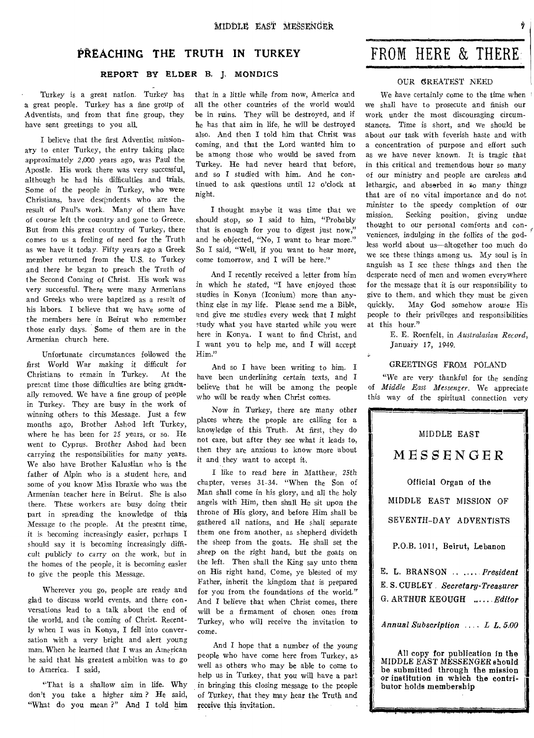## PREACHING **THE TRUTH IN TURKEY**

#### REPORT BY ELDER B. J. MONDICS

Turkey is a great nation. Turkey has a great people. Turkey has a fine group of Adventists, and from that fine group, they have sent greetings to you all.

I believe that the first Adventist missionary to enter Turkey, the entry taking place approximately 2,000 years ago, was Paul the Apostle. His work there was very successful, although he had his difficulties and trials. Some of the people in Turkey, who were Christians, have descandents who are the result of Paul's work. Many of them have of course left the country and gone to Greece. But from this great country of Turkey, there comes to us a feeling of need for the Truth as we have it today. Fifty years ago a Greek member returned from the U.S. to Turkey and there he began to preach the Truth of the Second Coming of Christ. His work was very successful. There were many Armenians and Greeks who were baptized as a result of his labors. I believe that we have some of the members here in Beirut who remember those early days. Some of them are in the Armenian church here.

Unfortunate circumstances followed the first World War making it difficult for Christians to remain in Turkey. At the present time those difficulties are being gradually removed. We have a fine group of people in Turkey. They are busy in the work of winning others to this Message. Just a few months ago, Brother Ashod left Turkey, where he has been for 25 years, or so. He went to Cyprus. Brother Ashod had been carrying the responsibilities for many years. We also have Brother Kalustian who is the father of Alpin who is a student here, and some of you know Miss Ibraxie who was the Armenian teacher here in Beirut. She is also there. These workers are busy doing their part in spreading the knowledge of this Message to the people. At the present time, it is becoming increasingly easier, perhaps I should say it is becoming increasingly difficult publicly to carry on the work, but in the homes of the people, it is becoming easier to give the people this Message.

Wherever you go, people are ready and glad to discuss world events, and there conversations lead to a talk about the end of the world, and the coming of Christ. Recently when I was in Konya, I fell into conversation with a very bright and alert young man. When he learned that I was an American he said that his greatest ambition was to go to America. I said,

"That is a shallow aim in life. Why don't you take a higher aim ? He said, "What do you mean ?" And I told him that in a little while from now, America and all the other countries of the world would be in ruins. They will be destroyed, and if he has that aim in life, he will be destroyed also. And then I told him that Christ was coming, and that the Lord wanted him to be among those who would be saved from Turkey. He had never heard that before, and so I studied with him. And he continued to ask questions until 12 o'clock at night.

I thought maybe it was time that we should stop, so I said to him, "Probably that is enough for you to digest just now," and he objected, "No, I want to hear more." So I said, "Well, if you want to hear more, come tomorrow, and I will be here."

And I recently received a letter from him in which he stated, "I have enjoyed those studies in Konya (Iconium) more than anything else in my life. Please send me a Bible, land give me studies every week that I might study what you have started while you were here in Konya. I want to find Christ, and I want you to help me, and I will accept Him."

And so I have been writing to him. I have been underlining certain *texts,* and I believe that he will be among the people who will be ready when Christ comes.

Now in Turkey, there are many other places where the people are calling for a knowledge of this Truth. At first, they do not care, but after they see what it leads to, then they are anxious to know more about it and they want to accept it.

I like to read here in Matthew, 25th chapter, verses 31-34. "When the Son of Man shall come in his glory, and all the holy angels with Him, then shall He sit upon the throne of His glory, and before Him shall be gathered all nations, and He shall separate them one from another, as shepherd divideth the sheep from the goats. He shall set the sheep on the right hand, but the goats on the left. Then shall the King say unto them on His right hand, Come, ye blessed of my Father, inherit the kingdom that is prepared for you from the foundations of the world." And I believe that when Christ comes, there will be a firmament of chosen ones from Turkey, who will receive the invitation to come.

And I hope that a number of the young people who have come here from Turkey, as well as others who may be able to come to help us in Turkey, that you will have a part in bringing this closing message to the people of Turkey, that they may hear the Truth and receive this invitation.

## FROM HERE & THERE

*If ffliSSSIMISMIIMINI.E.51101***,** 

#### OUR GREATEST NEED

We have certainly come to the time when we shall have to prosecute and finish our work under the most discouraging circumstances. Time is short, and we should be about our task with feverish haste and with a concentration of purpose and effort such as we have never known. It is tragic that in this critical and tremendous hour so many of our ministry and people are careless and lethargic, and abserbed in so many things that are of no vital importance and do not minister to the speedy completion of our mission. Seeking position, giving undue thought to our personal comforts and con*veniences, indulging* in the follies of the godless world about us--altogether too much do we see these things among us. My soul is in anguish as I see these things and then the desperate need of men and women everywhere for the message that it is our responsibility to give to them, and which they must be given quickly. May God somehow arouse His people to their privileges and responsibilities at this hour."

E. E. Roenfelt, in *Australasian Record,*  January 17, 1949.

#### GREETINGS FROM POLAND

 $\ddot{\mathbf{z}}$ 

"We are very thankful for the sending of *Middle East Messenger.* We appreciate this way of the spiritual connection very

| MIDDLE EAST                            |
|----------------------------------------|
| MESSENGER                              |
| Official Organ of the                  |
| MIDDLE EAST MISSION OF                 |
| SEVENTH-DAY ADVENTISTS                 |
| P.O.B. 1011, Beirut, Lebanon           |
| E. L. BRANSON   President              |
| E.S. CUBLEY <i>Secretary-Treasurer</i> |
| G. ARTHUR KEOUGH <i>Editor</i>         |
| Annual Subscription  L L. 5.00         |

All copy for publication in the MIDDLE EAST MESSENGER should be submitted through the mission or institution in which the contributor holds membership